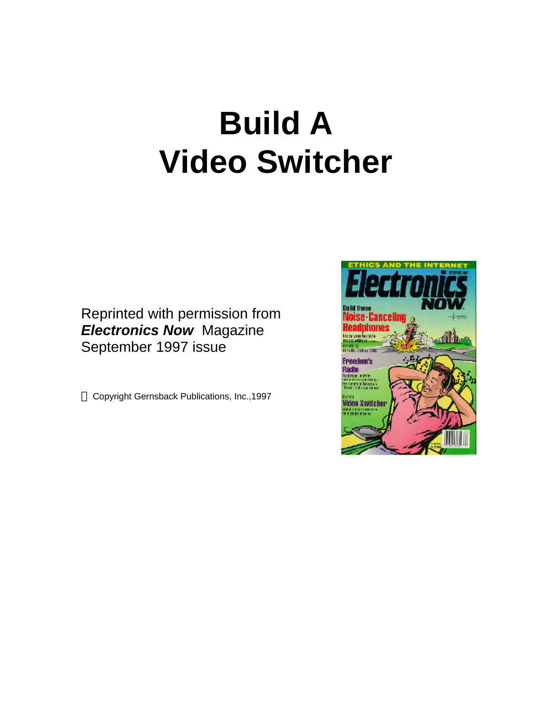# **Build A Video Switcher**

Reprinted with permission from *Electronics Now* Magazine September 1997 issue

Copyright Gernsback Publications, Inc.,1997

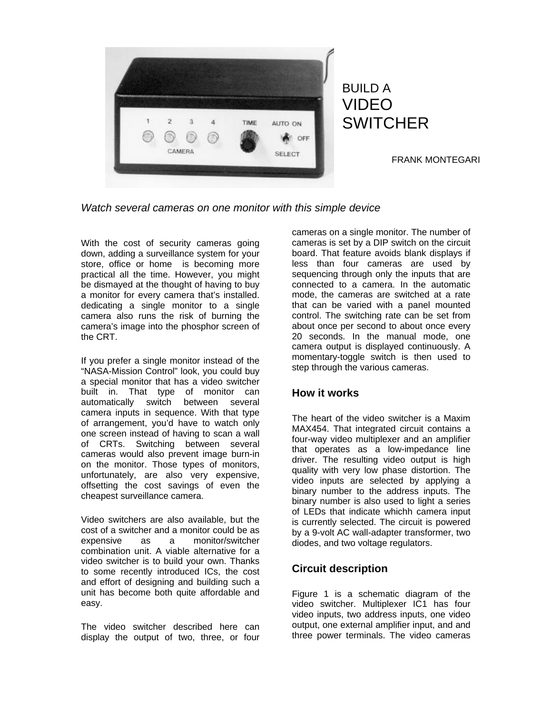

BUILD A VIDEO **SWITCHER** 

FRANK MONTEGARI

*Watch several cameras on one monitor with this simple device*

With the cost of security cameras going down, adding a surveillance system for your store, office or home is becoming more practical all the time. However, you might be dismayed at the thought of having to buy a monitor for every camera that's installed. dedicating a single monitor to a single camera also runs the risk of burning the camera's image into the phosphor screen of the CRT.

If you prefer a single monitor instead of the "NASA-Mission Control" look, you could buy a special monitor that has a video switcher built in. That type of monitor can automatically switch between several camera inputs in sequence. With that type of arrangement, you'd have to watch only one screen instead of having to scan a wall of CRTs. Switching between several cameras would also prevent image burn-in on the monitor. Those types of monitors, unfortunately, are also very expensive, offsetting the cost savings of even the cheapest surveillance camera.

Video switchers are also available, but the cost of a switcher and a monitor could be as expensive as a monitor/switcher combination unit. A viable alternative for a video switcher is to build your own. Thanks to some recently introduced ICs, the cost and effort of designing and building such a unit has become both quite affordable and easy.

The video switcher described here can display the output of two, three, or four

cameras on a single monitor. The number of cameras is set by a DIP switch on the circuit board. That feature avoids blank displays if less than four cameras are used by sequencing through only the inputs that are connected to a camera. In the automatic mode, the cameras are switched at a rate that can be varied with a panel mounted control. The switching rate can be set from about once per second to about once every 20 seconds. In the manual mode, one camera output is displayed continuously. A momentary-toggle switch is then used to step through the various cameras.

## **How it works**

The heart of the video switcher is a Maxim MAX454. That integrated circuit contains a four-way video multiplexer and an amplifier that operates as a low-impedance line driver. The resulting video output is high quality with very low phase distortion. The video inputs are selected by applying a binary number to the address inputs. The binary number is also used to light a series of LEDs that indicate whichh camera input is currently selected. The circuit is powered by a 9-volt AC wall-adapter transformer, two diodes, and two voltage regulators.

## **Circuit description**

Figure 1 is a schematic diagram of the video switcher. Multiplexer IC1 has four video inputs, two address inputs, one video output, one external amplifier input, and and three power terminals. The video cameras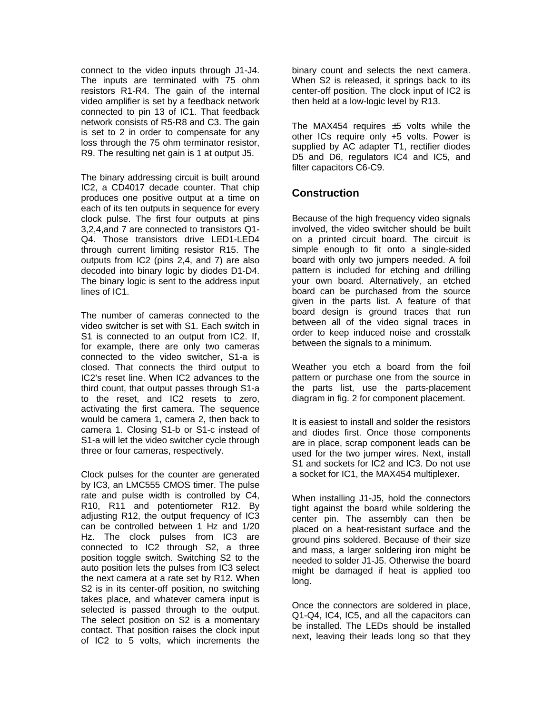connect to the video inputs through J1-J4. The inputs are terminated with 75 ohm resistors R1-R4. The gain of the internal video amplifier is set by a feedback network connected to pin 13 of IC1. That feedback network consists of R5-R8 and C3. The gain is set to 2 in order to compensate for any loss through the 75 ohm terminator resistor, R9. The resulting net gain is 1 at output J5.

The binary addressing circuit is built around IC2, a CD4017 decade counter. That chip produces one positive output at a time on each of its ten outputs in sequence for every clock pulse. The first four outputs at pins 3,2,4,and 7 are connected to transistors Q1- Q4. Those transistors drive LED1-LED4 through current limiting resistor R15. The outputs from IC2 (pins 2,4, and 7) are also decoded into binary logic by diodes D1-D4. The binary logic is sent to the address input lines of IC1.

The number of cameras connected to the video switcher is set with S1. Each switch in S1 is connected to an output from IC2. If, for example, there are only two cameras connected to the video switcher, S1-a is closed. That connects the third output to IC2's reset line. When IC2 advances to the third count, that output passes through S1-a to the reset, and IC2 resets to zero, activating the first camera. The sequence would be camera 1, camera 2, then back to camera 1. Closing S1-b or S1-c instead of S1-a will let the video switcher cycle through three or four cameras, respectively.

Clock pulses for the counter are generated by IC3, an LMC555 CMOS timer. The pulse rate and pulse width is controlled by C4, R10, R11 and potentiometer R12. By adjusting R12, the output frequency of IC3 can be controlled between 1 Hz and 1/20 Hz. The clock pulses from IC3 are connected to IC2 through S2, a three position toggle switch. Switching S2 to the auto position lets the pulses from IC3 select the next camera at a rate set by R12. When S2 is in its center-off position, no switching takes place, and whatever camera input is selected is passed through to the output. The select position on S2 is a momentary contact. That position raises the clock input of IC2 to 5 volts, which increments the

binary count and selects the next camera. When S2 is released, it springs back to its center-off position. The clock input of IC2 is then held at a low-logic level by R13.

The MAX454 requires  $\pm 5$  volts while the other ICs require only +5 volts. Power is supplied by AC adapter T1, rectifier diodes D5 and D6, regulators IC4 and IC5, and filter capacitors C6-C9.

### **Construction**

Because of the high frequency video signals involved, the video switcher should be built on a printed circuit board. The circuit is simple enough to fit onto a single-sided board with only two jumpers needed. A foil pattern is included for etching and drilling your own board. Alternatively, an etched board can be purchased from the source given in the parts list. A feature of that board design is ground traces that run between all of the video signal traces in order to keep induced noise and crosstalk between the signals to a minimum.

Weather you etch a board from the foil pattern or purchase one from the source in the parts list, use the parts-placement diagram in fig. 2 for component placement.

It is easiest to install and solder the resistors and diodes first. Once those components are in place, scrap component leads can be used for the two jumper wires. Next, install S1 and sockets for IC2 and IC3. Do not use a socket for IC1, the MAX454 multiplexer.

When installing J1-J5, hold the connectors tight against the board while soldering the center pin. The assembly can then be placed on a heat-resistant surface and the ground pins soldered. Because of their size and mass, a larger soldering iron might be needed to solder J1-J5. Otherwise the board might be damaged if heat is applied too long.

Once the connectors are soldered in place, Q1-Q4, IC4, IC5, and all the capacitors can be installed. The LEDs should be installed next, leaving their leads long so that they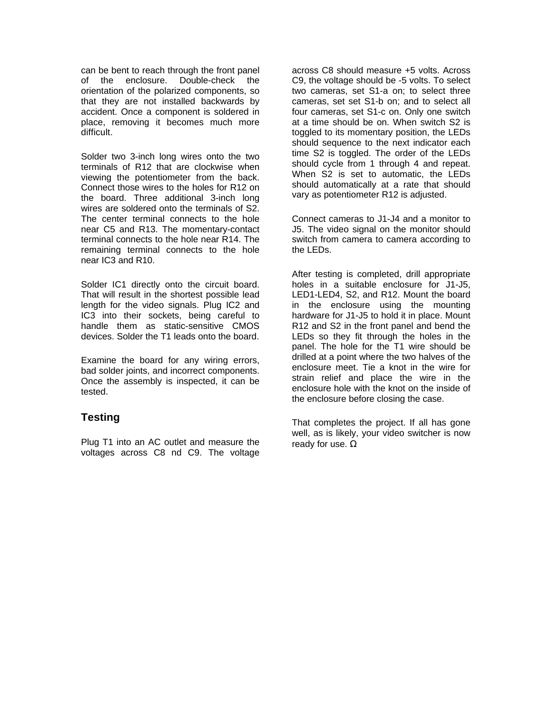can be bent to reach through the front panel of the enclosure. Double-check the orientation of the polarized components, so that they are not installed backwards by accident. Once a component is soldered in place, removing it becomes much more difficult.

Solder two 3-inch long wires onto the two terminals of R12 that are clockwise when viewing the potentiometer from the back. Connect those wires to the holes for R12 on the board. Three additional 3-inch long wires are soldered onto the terminals of S2. The center terminal connects to the hole near C5 and R13. The momentary-contact terminal connects to the hole near R14. The remaining terminal connects to the hole near IC3 and R10.

Solder IC1 directly onto the circuit board. That will result in the shortest possible lead length for the video signals. Plug IC2 and IC3 into their sockets, being careful to handle them as static-sensitive CMOS devices. Solder the T1 leads onto the board.

Examine the board for any wiring errors, bad solder joints, and incorrect components. Once the assembly is inspected, it can be tested.

## **Testing**

Plug T1 into an AC outlet and measure the voltages across C8 nd C9. The voltage

across C8 should measure +5 volts. Across C9, the voltage should be -5 volts. To select two cameras, set S1-a on; to select three cameras, set set S1-b on; and to select all four cameras, set S1-c on. Only one switch at a time should be on. When switch S2 is toggled to its momentary position, the LEDs should sequence to the next indicator each time S2 is toggled. The order of the LEDs should cycle from 1 through 4 and repeat. When S2 is set to automatic, the LEDs should automatically at a rate that should vary as potentiometer R12 is adjusted.

Connect cameras to J1-J4 and a monitor to J5. The video signal on the monitor should switch from camera to camera according to the LEDs.

After testing is completed, drill appropriate holes in a suitable enclosure for J1-J5. LED1-LED4, S2, and R12. Mount the board in the enclosure using the mounting hardware for J1-J5 to hold it in place. Mount R12 and S2 in the front panel and bend the LEDs so they fit through the holes in the panel. The hole for the T1 wire should be drilled at a point where the two halves of the enclosure meet. Tie a knot in the wire for strain relief and place the wire in the enclosure hole with the knot on the inside of the enclosure before closing the case.

That completes the project. If all has gone well, as is likely, your video switcher is now ready for use. Ω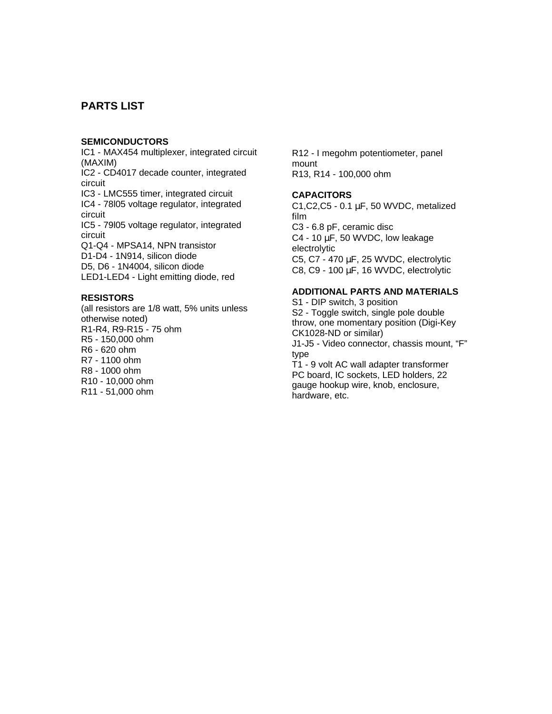## **PARTS LIST**

#### **SEMICONDUCTORS**

IC1 - MAX454 multiplexer, integrated circuit (MAXIM) IC2 - CD4017 decade counter, integrated circuit IC3 - LMC555 timer, integrated circuit IC4 - 78l05 voltage regulator, integrated circuit IC5 - 79l05 voltage regulator, integrated circuit Q1-Q4 - MPSA14, NPN transistor D1-D4 - 1N914, silicon diode D5, D6 - 1N4004, silicon diode LED1-LED4 - Light emitting diode, red

#### **RESISTORS**

(all resistors are 1/8 watt, 5% units unless otherwise noted) R1-R4, R9-R15 - 75 ohm R5 - 150,000 ohm R6 - 620 ohm R7 - 1100 ohm R8 - 1000 ohm R10 - 10,000 ohm R11 - 51,000 ohm

R12 - I megohm potentiometer, panel mount R13, R14 - 100,000 ohm

#### **CAPACITORS**

C1,C2,C5 - 0.1 μF, 50 WVDC, metalized film C3 - 6.8 pF, ceramic disc C4 - 10  $\mu$ F, 50 WVDC, low leakage electrolytic C5, C7 - 470 μF, 25 WVDC, electrolytic C8, C9 - 100 μF, 16 WVDC, electrolytic

#### **ADDITIONAL PARTS AND MATERIALS**

S1 - DIP switch, 3 position S2 - Toggle switch, single pole double throw, one momentary position (Digi-Key CK1028-ND or similar) J1-J5 - Video connector, chassis mount, "F" type T1 - 9 volt AC wall adapter transformer PC board, IC sockets, LED holders, 22 gauge hookup wire, knob, enclosure,

hardware, etc.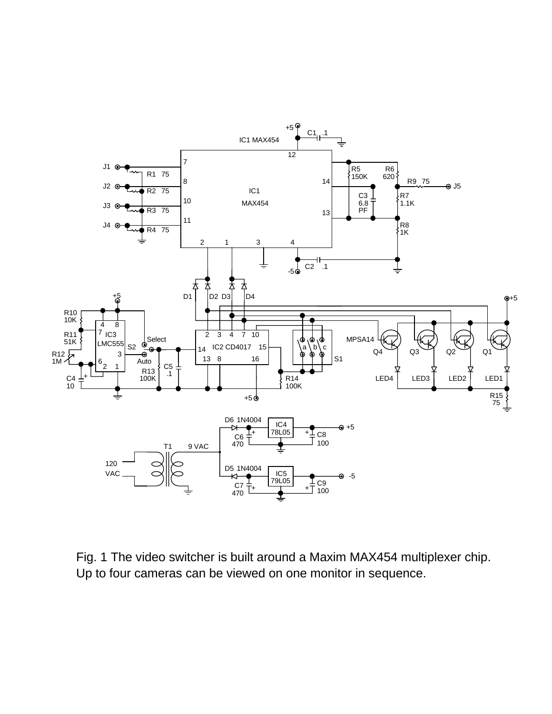

Fig. 1 The video switcher is built around a Maxim MAX454 multiplexer chip. Up to four cameras can be viewed on one monitor in sequence.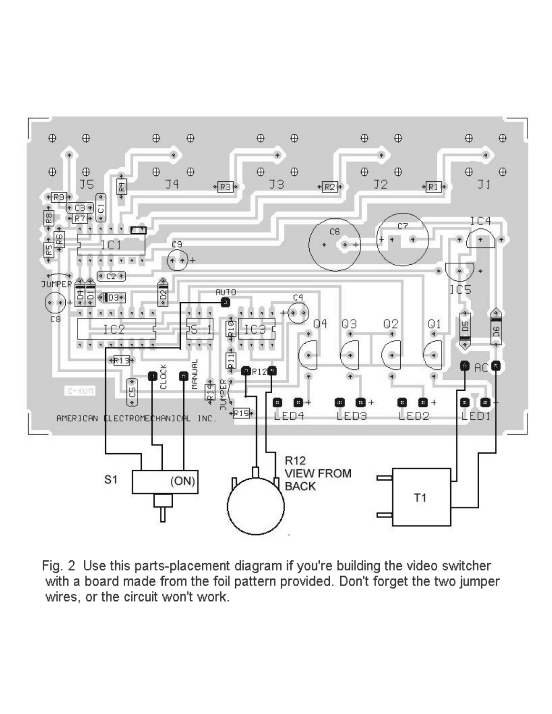

Fig. 2 Use this parts-placement diagram if you're building the video switcher with a board made from the foil pattern provided. Don't forget the two jumper wires, or the circuit won't work.